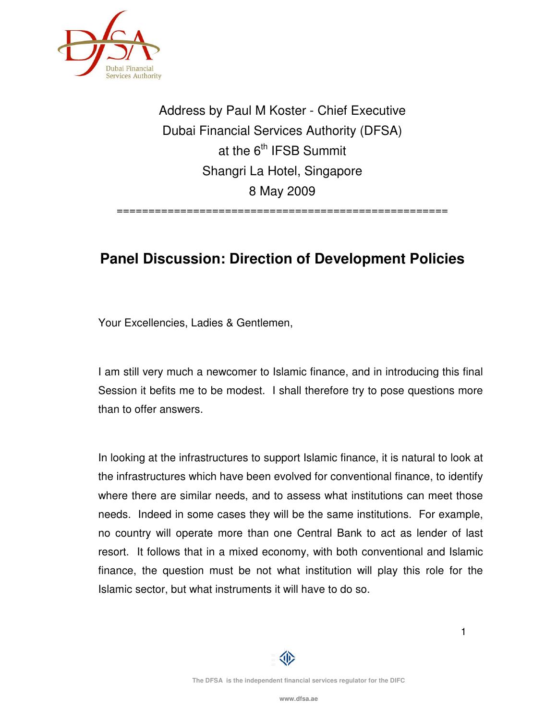

Address by Paul M Koster - Chief Executive Dubai Financial Services Authority (DFSA) at the  $6<sup>th</sup>$  IFSB Summit Shangri La Hotel, Singapore 8 May 2009

====================================================

## **Panel Discussion: Direction of Development Policies**

Your Excellencies, Ladies & Gentlemen,

I am still very much a newcomer to Islamic finance, and in introducing this final Session it befits me to be modest. I shall therefore try to pose questions more than to offer answers.

In looking at the infrastructures to support Islamic finance, it is natural to look at the infrastructures which have been evolved for conventional finance, to identify where there are similar needs, and to assess what institutions can meet those needs. Indeed in some cases they will be the same institutions. For example, no country will operate more than one Central Bank to act as lender of last resort. It follows that in a mixed economy, with both conventional and Islamic finance, the question must be not what institution will play this role for the Islamic sector, but what instruments it will have to do so.

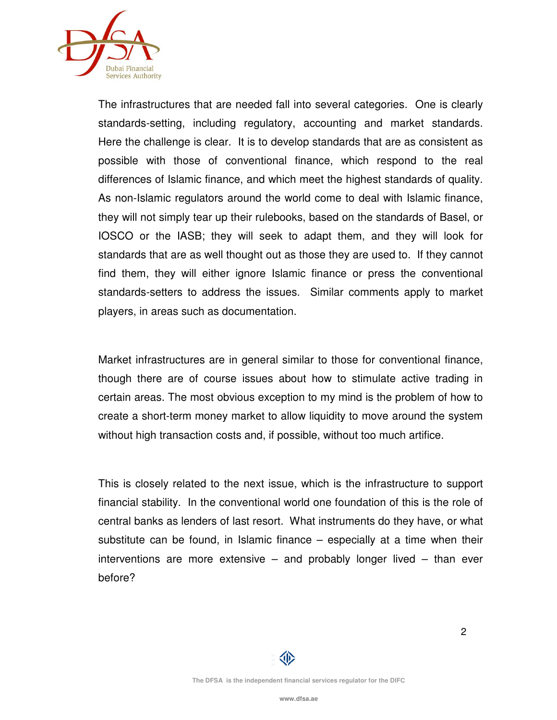

The infrastructures that are needed fall into several categories. One is clearly standards-setting, including regulatory, accounting and market standards. Here the challenge is clear. It is to develop standards that are as consistent as possible with those of conventional finance, which respond to the real differences of Islamic finance, and which meet the highest standards of quality. As non-Islamic regulators around the world come to deal with Islamic finance, they will not simply tear up their rulebooks, based on the standards of Basel, or IOSCO or the IASB; they will seek to adapt them, and they will look for standards that are as well thought out as those they are used to. If they cannot find them, they will either ignore Islamic finance or press the conventional standards-setters to address the issues. Similar comments apply to market players, in areas such as documentation.

Market infrastructures are in general similar to those for conventional finance, though there are of course issues about how to stimulate active trading in certain areas. The most obvious exception to my mind is the problem of how to create a short-term money market to allow liquidity to move around the system without high transaction costs and, if possible, without too much artifice.

This is closely related to the next issue, which is the infrastructure to support financial stability. In the conventional world one foundation of this is the role of central banks as lenders of last resort. What instruments do they have, or what substitute can be found, in Islamic finance – especially at a time when their interventions are more extensive – and probably longer lived – than ever before?

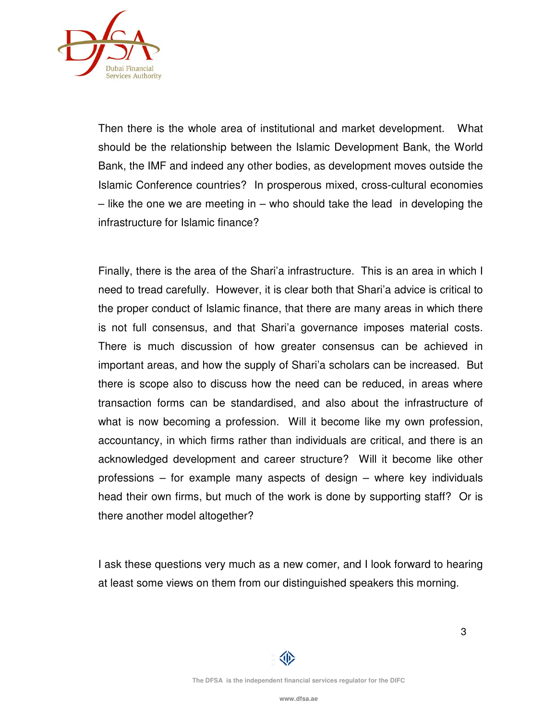

Then there is the whole area of institutional and market development. What should be the relationship between the Islamic Development Bank, the World Bank, the IMF and indeed any other bodies, as development moves outside the Islamic Conference countries? In prosperous mixed, cross-cultural economies  $-$  like the one we are meeting in  $-$  who should take the lead in developing the infrastructure for Islamic finance?

Finally, there is the area of the Shari'a infrastructure. This is an area in which I need to tread carefully. However, it is clear both that Shari'a advice is critical to the proper conduct of Islamic finance, that there are many areas in which there is not full consensus, and that Shari'a governance imposes material costs. There is much discussion of how greater consensus can be achieved in important areas, and how the supply of Shari'a scholars can be increased. But there is scope also to discuss how the need can be reduced, in areas where transaction forms can be standardised, and also about the infrastructure of what is now becoming a profession. Will it become like my own profession, accountancy, in which firms rather than individuals are critical, and there is an acknowledged development and career structure? Will it become like other professions – for example many aspects of design – where key individuals head their own firms, but much of the work is done by supporting staff? Or is there another model altogether?

I ask these questions very much as a new comer, and I look forward to hearing at least some views on them from our distinguished speakers this morning.